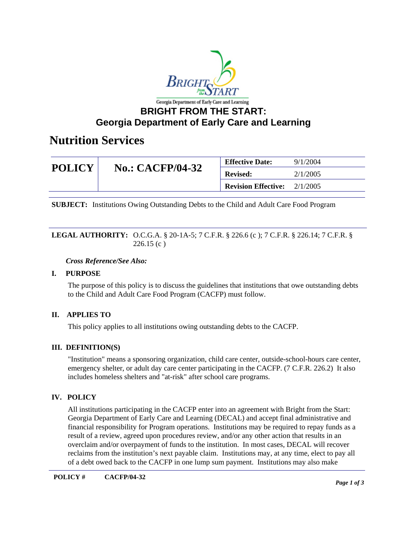

### **Georgia Department of Early Care and Learning**

### **Nutrition Services**

| <b>POLICY</b> | <b>No.: CACFP/04-32</b> | <b>Effective Date:</b>     | 9/1/2004 |
|---------------|-------------------------|----------------------------|----------|
|               |                         | <b>Revised:</b>            | 2/1/2005 |
|               |                         | <b>Revision Effective:</b> | 2/1/2005 |

**SUBJECT:** Institutions Owing Outstanding Debts to the Child and Adult Care Food Program

### **LEGAL AUTHORITY:** O.C.G.A. § 20-1A-5; 7 C.F.R. § 226.6 (c ); 7 C.F.R. § 226.14; 7 C.F.R. §  $226.15(c)$

#### *Cross Reference/See Also:*

### **I. PURPOSE**

The purpose of this policy is to discuss the guidelines that institutions that owe outstanding debts to the Child and Adult Care Food Program (CACFP) must follow.

### **II. APPLIES TO**

This policy applies to all institutions owing outstanding debts to the CACFP.

### **III. DEFINITION(S)**

"Institution" means a sponsoring organization, child care center, outside-school-hours care center, emergency shelter, or adult day care center participating in the CACFP. (7 C.F.R. 226.2) It also includes homeless shelters and "at-risk" after school care programs.

### **IV. POLICY**

All institutions participating in the CACFP enter into an agreement with Bright from the Start: Georgia Department of Early Care and Learning (DECAL) and accept final administrative and financial responsibility for Program operations. Institutions may be required to repay funds as a result of a review, agreed upon procedures review, and/or any other action that results in an overclaim and/or overpayment of funds to the institution. In most cases, DECAL will recover reclaims from the institution's next payable claim. Institutions may, at any time, elect to pay all of a debt owed back to the CACFP in one lump sum payment. Institutions may also make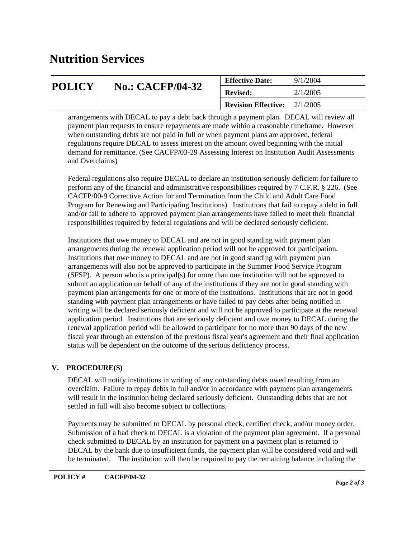# **Nutrition Services**

| <b>POLICY</b> | <b>No.: CACFP/04-32</b> | <b>Effective Date:</b>     | 9/1/2004 |
|---------------|-------------------------|----------------------------|----------|
|               |                         | <b>Revised:</b>            | 2/1/2005 |
|               |                         | <b>Revision Effective:</b> | 2/1/2005 |

arrangements with DECAL to pay a debt back through a payment plan. DECAL will review all payment plan requests to ensure repayments are made within a reasonable timeframe. However when outstanding debts are not paid in full or when payment plans are approved, federal regulations require DECAL to assess interest on the amount owed beginning with the initial demand for remittance. (See CACFP/03-29 Assessing Interest on Institution Audit Assessments and Overclaims)

Federal regulations also require DECAL to declare an institution seriously deficient for failure to perform any of the financial and administrative responsibilities required by 7 C.F.R. § 226. (See CACFP/00-9 Corrective Action for and Termination from the Child and Adult Care Food Program for Renewing and Participating Institutions) Institutions that fail to repay a debt in full and/or fail to adhere to approved payment plan arrangements have failed to meet their financial responsibilities required by federal regulations and will be declared seriously deficient.

Institutions that owe money to DECAL and are not in good standing with payment plan arrangements during the renewal application period will not be approved for participation. Institutions that owe money to DECAL and are not in good standing with payment plan arrangements will also not be approved to participate in the Summer Food Service Program (SFSP). A person who is a principal(s) for more than one institution will not be approved to submit an application on behalf of any of the institutions if they are not in good standing with payment plan arrangements for one or more of the institutions. Institutions that are not in good standing with payment plan arrangements or have failed to pay debts after being notified in writing will be declared seriously deficient and will not be approved to participate at the renewal application period. Institutions that are seriously deficient and owe money to DECAL during the renewal application period will be allowed to participate for no more than 90 days of the new fiscal year through an extension of the previous fiscal year's agreement and their final application status will be dependent on the outcome of the serious deficiency process.

### **V. PROCEDURE(S)**

DECAL will notify institutions in writing of any outstanding debts owed resulting from an overclaim. Failure to repay debts in full and/or in accordance with payment plan arrangements will result in the institution being declared seriously deficient. Outstanding debts that are not settled in full will also become subject to collections.

Payments may be submitted to DECAL by personal check, certified check, and/or money order. Submission of a bad check to DECAL is a violation of the payment plan agreement. If a personal check submitted to DECAL by an institution for payment on a payment plan is returned to DECAL by the bank due to insufficient funds, the payment plan will be considered void and will be terminated. The institution will then be required to pay the remaining balance including the